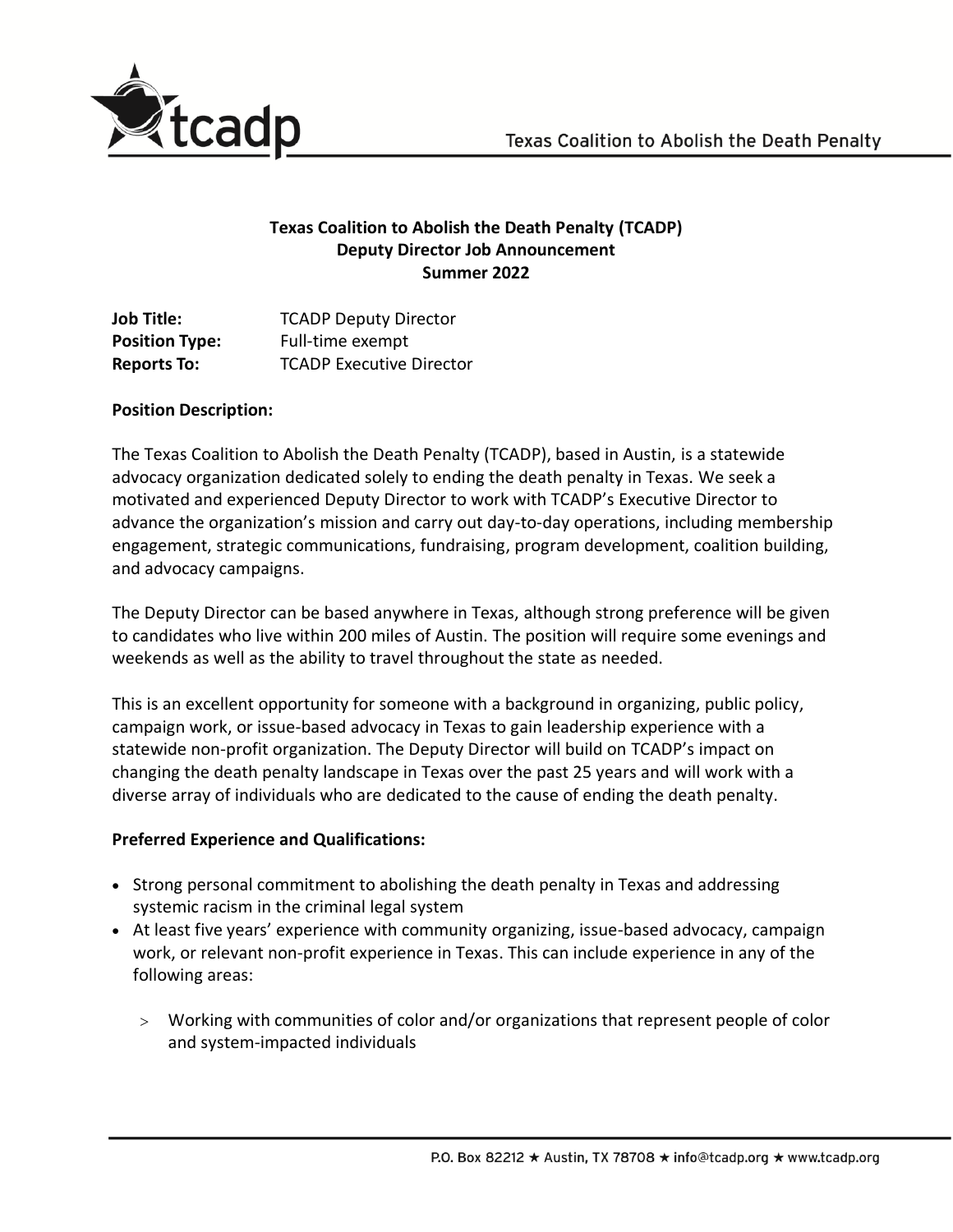

## **Texas Coalition to Abolish the Death Penalty (TCADP) Deputy Director Job Announcement Summer 2022**

| <b>Job Title:</b>     | <b>TCADP Deputy Director</b>    |
|-----------------------|---------------------------------|
| <b>Position Type:</b> | Full-time exempt                |
| <b>Reports To:</b>    | <b>TCADP Executive Director</b> |

### **Position Description:**

The Texas Coalition to Abolish the Death Penalty (TCADP), based in Austin, is a statewide advocacy organization dedicated solely to ending the death penalty in Texas. We seek a motivated and experienced Deputy Director to work with TCADP's Executive Director to advance the organization's mission and carry out day-to-day operations, including membership engagement, strategic communications, fundraising, program development, coalition building, and advocacy campaigns.

The Deputy Director can be based anywhere in Texas, although strong preference will be given to candidates who live within 200 miles of Austin. The position will require some evenings and weekends as well as the ability to travel throughout the state as needed.

This is an excellent opportunity for someone with a background in organizing, public policy, campaign work, or issue-based advocacy in Texas to gain leadership experience with a statewide non-profit organization. The Deputy Director will build on TCADP's impact on changing the death penalty landscape in Texas over the past 25 years and will work with a diverse array of individuals who are dedicated to the cause of ending the death penalty.

### **Preferred Experience and Qualifications:**

- Strong personal commitment to abolishing the death penalty in Texas and addressing systemic racism in the criminal legal system
- At least five years' experience with community organizing, issue-based advocacy, campaign work, or relevant non-profit experience in Texas. This can include experience in any of the following areas:
	- Working with communities of color and/or organizations that represent people of color and system-impacted individuals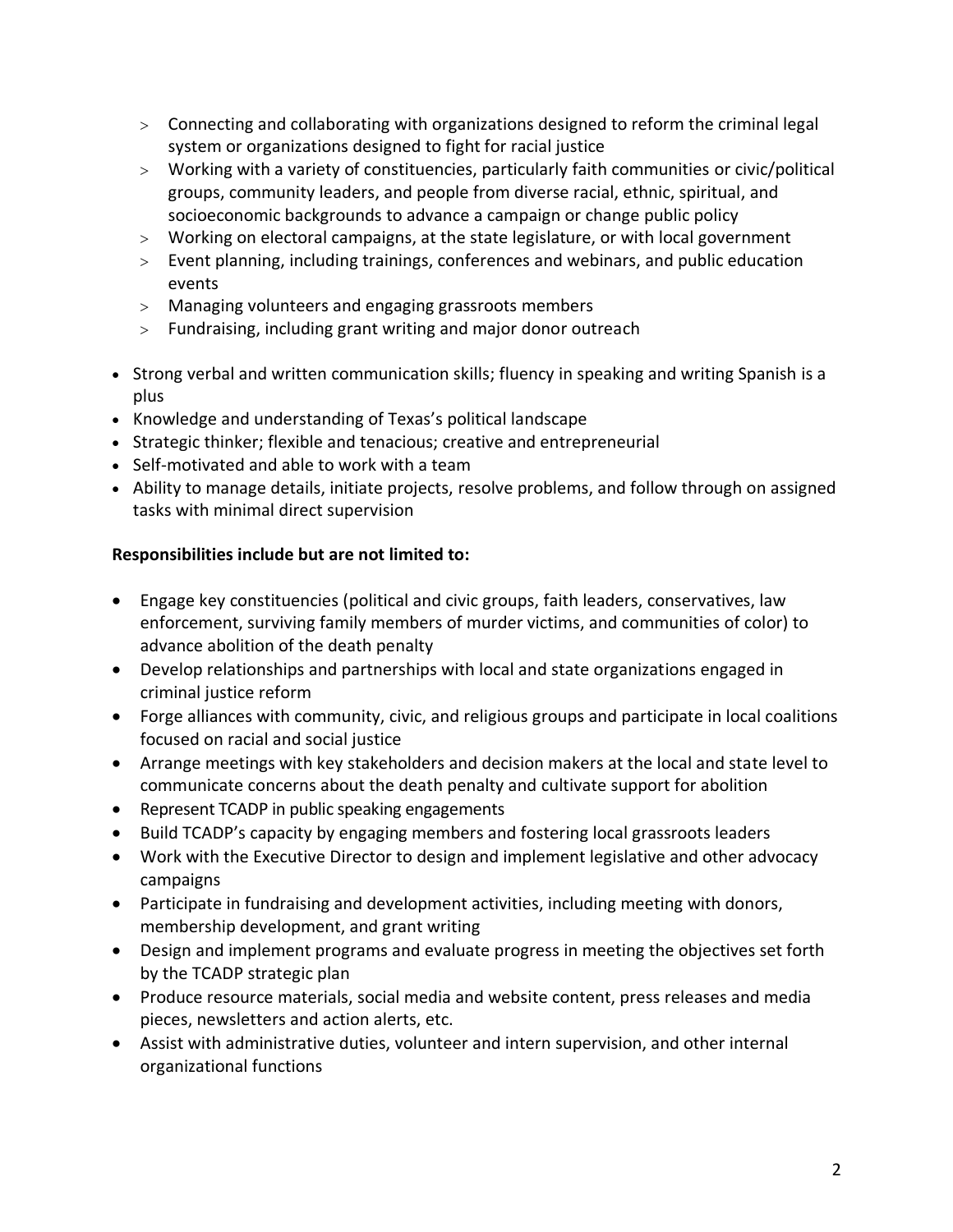- Connecting and collaborating with organizations designed to reform the criminal legal system or organizations designed to fight for racial justice
- Working with a variety of constituencies, particularly faith communities or civic/political groups, community leaders, and people from diverse racial, ethnic, spiritual, and socioeconomic backgrounds to advance a campaign or change public policy
- Working on electoral campaigns, at the state legislature, or with local government
- Event planning, including trainings, conferences and webinars, and public education events
- Managing volunteers and engaging grassroots members
- Fundraising, including grant writing and major donor outreach
- Strong verbal and written communication skills; fluency in speaking and writing Spanish is a plus
- Knowledge and understanding of Texas's political landscape
- Strategic thinker; flexible and tenacious; creative and entrepreneurial
- Self-motivated and able to work with a team
- Ability to manage details, initiate projects, resolve problems, and follow through on assigned tasks with minimal direct supervision

# **Responsibilities include but are not limited to:**

- Engage key constituencies (political and civic groups, faith leaders, conservatives, law enforcement, surviving family members of murder victims, and communities of color) to advance abolition of the death penalty
- Develop relationships and partnerships with local and state organizations engaged in criminal justice reform
- Forge alliances with community, civic, and religious groups and participate in local coalitions focused on racial and social justice
- Arrange meetings with key stakeholders and decision makers at the local and state level to communicate concerns about the death penalty and cultivate support for abolition
- Represent TCADP in public speaking engagements
- Build TCADP's capacity by engaging members and fostering local grassroots leaders
- Work with the Executive Director to design and implement legislative and other advocacy campaigns
- Participate in fundraising and development activities, including meeting with donors, membership development, and grant writing
- Design and implement programs and evaluate progress in meeting the objectives set forth by the TCADP strategic plan
- Produce resource materials, social media and website content, press releases and media pieces, newsletters and action alerts, etc.
- Assist with administrative duties, volunteer and intern supervision, and other internal organizational functions